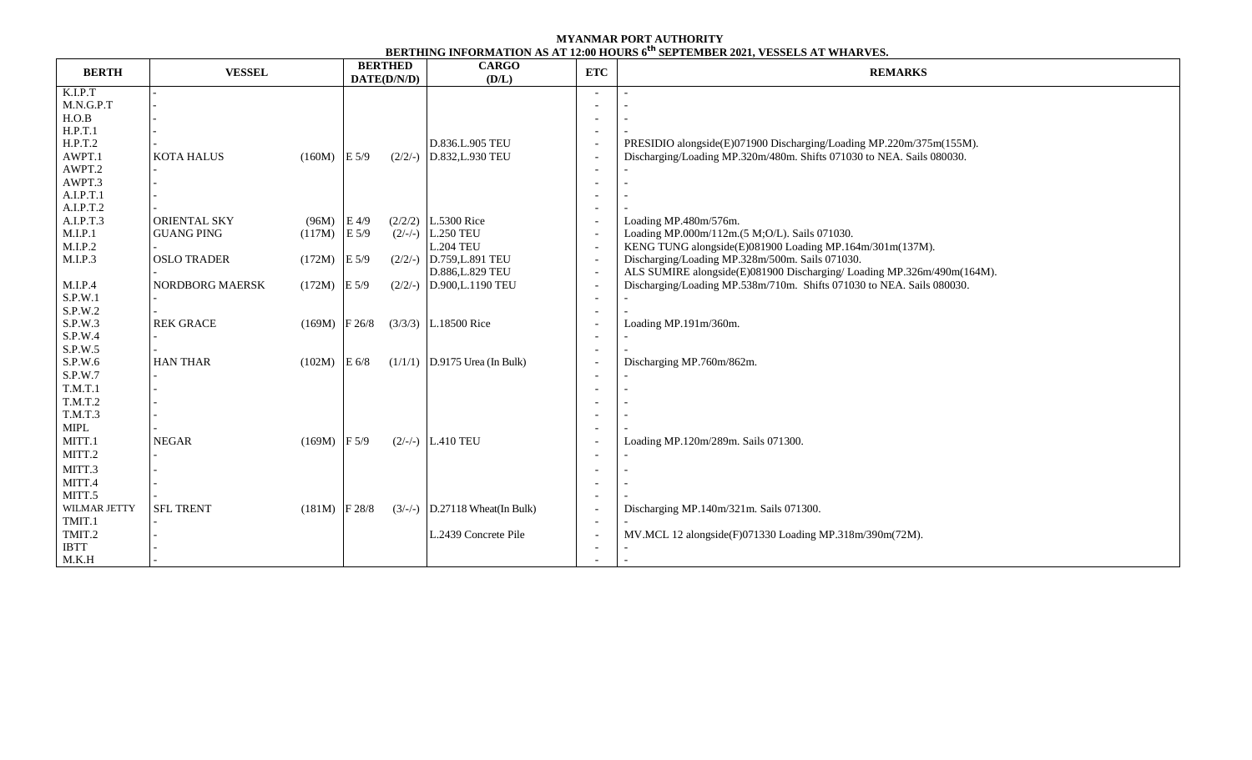| <b>BERTH</b> | <b>VESSEL</b>      |                 | <b>BERTHED</b><br>DATE(D/N/D) | <u>BBRITHING INTO RUMBER OF THE HERE INTO THE OUTS</u><br><b>CARGO</b><br>(D/L) | <b>ETC</b>               | <b>REMARKS</b>                                                        |  |  |  |
|--------------|--------------------|-----------------|-------------------------------|---------------------------------------------------------------------------------|--------------------------|-----------------------------------------------------------------------|--|--|--|
| K.I.P.T      |                    |                 |                               |                                                                                 |                          |                                                                       |  |  |  |
| M.N.G.P.T    |                    |                 |                               |                                                                                 |                          |                                                                       |  |  |  |
| H.O.B        |                    |                 |                               |                                                                                 |                          |                                                                       |  |  |  |
| H.P.T.1      |                    |                 |                               |                                                                                 |                          |                                                                       |  |  |  |
| H.P.T.2      |                    |                 |                               | D.836.L.905 TEU                                                                 |                          | PRESIDIO alongside(E)071900 Discharging/Loading MP.220m/375m(155M).   |  |  |  |
| AWPT.1       | <b>KOTA HALUS</b>  | $(160M)$ E 5/9  | $(2/2/-)$                     | D.832, L.930 TEU                                                                |                          | Discharging/Loading MP.320m/480m. Shifts 071030 to NEA. Sails 080030. |  |  |  |
| AWPT.2       |                    |                 |                               |                                                                                 |                          |                                                                       |  |  |  |
| AWPT.3       |                    |                 |                               |                                                                                 |                          |                                                                       |  |  |  |
| A.I.P.T.1    |                    |                 |                               |                                                                                 |                          |                                                                       |  |  |  |
| A.I.P.T.2    |                    |                 |                               |                                                                                 |                          |                                                                       |  |  |  |
| A.I.P.T.3    | ORIENTAL SKY       | $(96M)$ E 4/9   |                               | $(2/2/2)$ L.5300 Rice                                                           |                          | Loading MP.480m/576m.                                                 |  |  |  |
| M.I.P.1      | <b>GUANG PING</b>  | (117M)          | E 5/9<br>$(2/-/-)$            | <b>L.250 TEU</b>                                                                | $\overline{\phantom{a}}$ | Loading MP.000m/112m.(5 M;O/L). Sails 071030.                         |  |  |  |
| M.I.P.2      |                    |                 |                               | <b>L.204 TEU</b>                                                                | $\overline{\phantom{a}}$ | KENG TUNG alongside(E)081900 Loading MP.164m/301m(137M).              |  |  |  |
| M.I.P.3      | <b>OSLO TRADER</b> | $(172M)$ E 5/9  | $(2/2/-)$                     | D.759, L.891 TEU                                                                | $\overline{\phantom{a}}$ | Discharging/Loading MP.328m/500m. Sails 071030.                       |  |  |  |
|              |                    |                 |                               | D.886, L.829 TEU                                                                | $\overline{\phantom{a}}$ | ALS SUMIRE alongside(E)081900 Discharging/Loading MP.326m/490m(164M). |  |  |  |
| M.I.P.4      | NORDBORG MAERSK    | $(172M)$ E 5/9  | $(2/2/-)$                     | D.900,L.1190 TEU                                                                | $\overline{\phantom{a}}$ | Discharging/Loading MP.538m/710m. Shifts 071030 to NEA. Sails 080030. |  |  |  |
| S.P.W.1      |                    |                 |                               |                                                                                 |                          |                                                                       |  |  |  |
| S.P.W.2      |                    |                 |                               |                                                                                 |                          |                                                                       |  |  |  |
| S.P.W.3      | <b>REK GRACE</b>   | $(169M)$ F 26/8 |                               | $(3/3/3)$ L.18500 Rice                                                          |                          | Loading MP.191m/360m.                                                 |  |  |  |
| S.P.W.4      |                    |                 |                               |                                                                                 |                          |                                                                       |  |  |  |
| S.P.W.5      |                    |                 |                               |                                                                                 |                          |                                                                       |  |  |  |
| S.P.W.6      | <b>HAN THAR</b>    | $(102M)$ E 6/8  |                               | $(1/1/1)$ D.9175 Urea (In Bulk)                                                 |                          | Discharging MP.760m/862m.                                             |  |  |  |
| S.P.W.7      |                    |                 |                               |                                                                                 |                          |                                                                       |  |  |  |
| T.M.T.1      |                    |                 |                               |                                                                                 |                          |                                                                       |  |  |  |
| T.M.T.2      |                    |                 |                               |                                                                                 |                          |                                                                       |  |  |  |
| T.M.T.3      |                    |                 |                               |                                                                                 |                          |                                                                       |  |  |  |
| <b>MIPL</b>  |                    |                 |                               |                                                                                 |                          |                                                                       |  |  |  |
| MITT.1       | <b>NEGAR</b>       | $(169M)$ F 5/9  |                               | $(2/-/-)$ L.410 TEU                                                             |                          | Loading MP.120m/289m. Sails 071300.                                   |  |  |  |
| MITT.2       |                    |                 |                               |                                                                                 |                          |                                                                       |  |  |  |
| MITT.3       |                    |                 |                               |                                                                                 |                          |                                                                       |  |  |  |
| MITT.4       |                    |                 |                               |                                                                                 |                          |                                                                       |  |  |  |
| MITT.5       |                    |                 |                               |                                                                                 |                          |                                                                       |  |  |  |
| WILMAR JETTY | <b>SFL TRENT</b>   | $(181M)$ F 28/8 |                               | $(3/-)$ D.27118 Wheat(In Bulk)                                                  |                          | Discharging MP.140m/321m. Sails 071300.                               |  |  |  |
| TMIT.1       |                    |                 |                               |                                                                                 |                          |                                                                       |  |  |  |
| TMIT.2       |                    |                 |                               | L.2439 Concrete Pile                                                            |                          | MV.MCL 12 alongside(F)071330 Loading MP.318m/390m(72M).               |  |  |  |
| <b>IBTT</b>  |                    |                 |                               |                                                                                 |                          |                                                                       |  |  |  |
| M.K.H        |                    |                 |                               |                                                                                 |                          |                                                                       |  |  |  |

## **MYANMAR PORT AUTHORITY BERTHING INFORMATION AS AT 12:00 HOURS 6 th SEPTEMBER 2021, VESSELS AT WHARVES.**